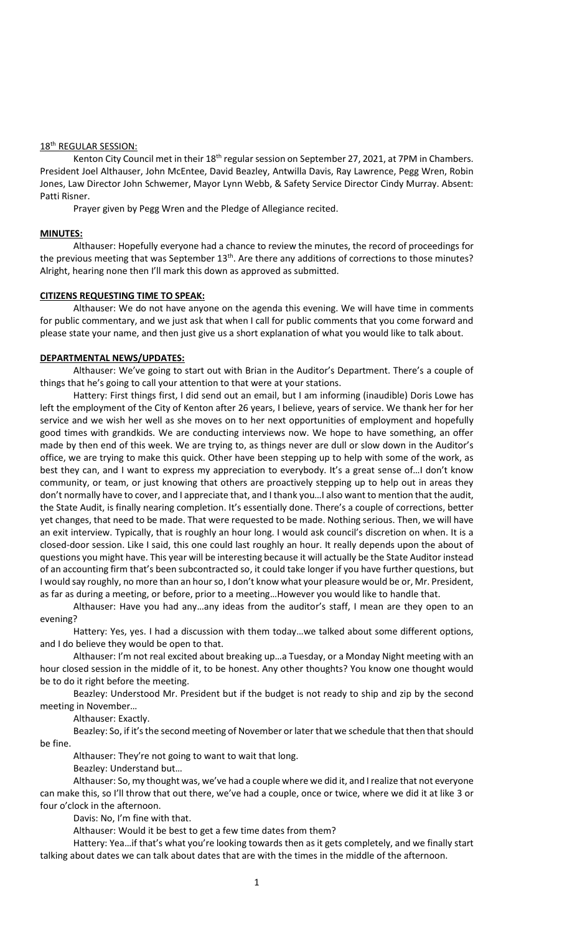#### 18th REGULAR SESSION:

Kenton City Council met in their 18<sup>th</sup> regular session on September 27, 2021, at 7PM in Chambers. President Joel Althauser, John McEntee, David Beazley, Antwilla Davis, Ray Lawrence, Pegg Wren, Robin Jones, Law Director John Schwemer, Mayor Lynn Webb, & Safety Service Director Cindy Murray. Absent: Patti Risner.

Prayer given by Pegg Wren and the Pledge of Allegiance recited.

### **MINUTES:**

Althauser: Hopefully everyone had a chance to review the minutes, the record of proceedings for the previous meeting that was September  $13<sup>th</sup>$ . Are there any additions of corrections to those minutes? Alright, hearing none then I'll mark this down as approved as submitted.

## **CITIZENS REQUESTING TIME TO SPEAK:**

Althauser: We do not have anyone on the agenda this evening. We will have time in comments for public commentary, and we just ask that when I call for public comments that you come forward and please state your name, and then just give us a short explanation of what you would like to talk about.

### **DEPARTMENTAL NEWS/UPDATES:**

Althauser: We've going to start out with Brian in the Auditor's Department. There's a couple of things that he's going to call your attention to that were at your stations.

Hattery: First things first, I did send out an email, but I am informing (inaudible) Doris Lowe has left the employment of the City of Kenton after 26 years, I believe, years of service. We thank her for her service and we wish her well as she moves on to her next opportunities of employment and hopefully good times with grandkids. We are conducting interviews now. We hope to have something, an offer made by then end of this week. We are trying to, as things never are dull or slow down in the Auditor's office, we are trying to make this quick. Other have been stepping up to help with some of the work, as best they can, and I want to express my appreciation to everybody. It's a great sense of…I don't know community, or team, or just knowing that others are proactively stepping up to help out in areas they don't normally have to cover, and I appreciate that, and I thank you…I also want to mention that the audit, the State Audit, is finally nearing completion. It's essentially done. There's a couple of corrections, better yet changes, that need to be made. That were requested to be made. Nothing serious. Then, we will have an exit interview. Typically, that is roughly an hour long. I would ask council's discretion on when. It is a closed-door session. Like I said, this one could last roughly an hour. It really depends upon the about of questions you might have. This year will be interesting because it will actually be the State Auditor instead of an accounting firm that's been subcontracted so, it could take longer if you have further questions, but I would say roughly, no more than an hour so, I don't know what your pleasure would be or, Mr. President, as far as during a meeting, or before, prior to a meeting…However you would like to handle that.

Althauser: Have you had any…any ideas from the auditor's staff, I mean are they open to an evening?

Hattery: Yes, yes. I had a discussion with them today…we talked about some different options, and I do believe they would be open to that.

Althauser: I'm not real excited about breaking up…a Tuesday, or a Monday Night meeting with an hour closed session in the middle of it, to be honest. Any other thoughts? You know one thought would be to do it right before the meeting.

Beazley: Understood Mr. President but if the budget is not ready to ship and zip by the second meeting in November…

Althauser: Exactly.

Beazley: So, if it's the second meeting of November or later that we schedule that then that should be fine.

Althauser: They're not going to want to wait that long.

Beazley: Understand but…

Althauser: So, my thought was, we've had a couple where we did it, and I realize that not everyone can make this, so I'll throw that out there, we've had a couple, once or twice, where we did it at like 3 or four o'clock in the afternoon.

Davis: No, I'm fine with that.

Althauser: Would it be best to get a few time dates from them?

Hattery: Yea…if that's what you're looking towards then as it gets completely, and we finally start talking about dates we can talk about dates that are with the times in the middle of the afternoon.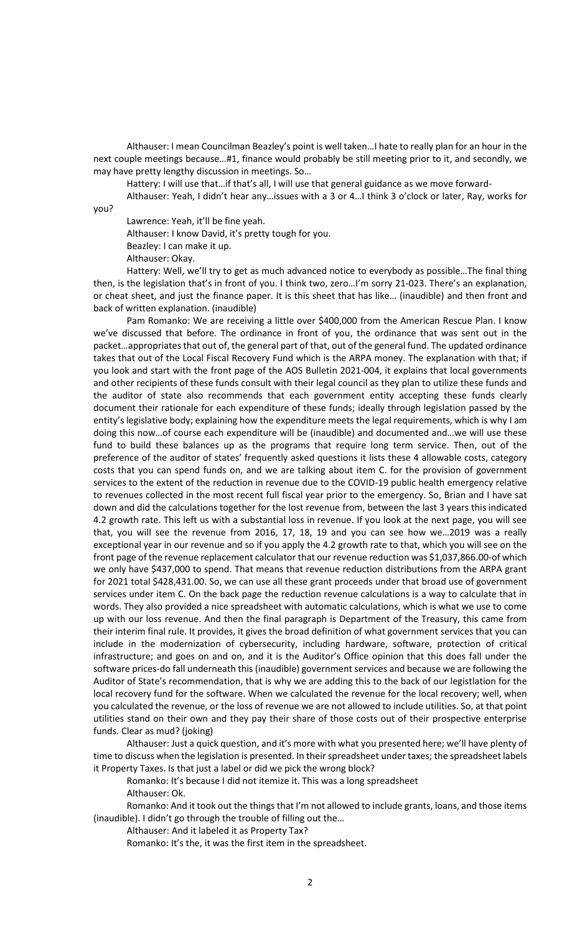Althauser: I mean Councilman Beazley's point is well taken…I hate to really plan for an hour in the next couple meetings because…#1, finance would probably be still meeting prior to it, and secondly, we may have pretty lengthy discussion in meetings. So…

Hattery: I will use that…if that's all, I will use that general guidance as we move forward-

Althauser: Yeah, I didn't hear any…issues with a 3 or 4…I think 3 o'clock or later, Ray, works for you?

Lawrence: Yeah, it'll be fine yeah.

Althauser: I know David, it's pretty tough for you.

Beazley: I can make it up.

Althauser: Okay.

Hattery: Well, we'll try to get as much advanced notice to everybody as possible…The final thing then, is the legislation that's in front of you. I think two, zero…I'm sorry 21-023. There's an explanation, or cheat sheet, and just the finance paper. It is this sheet that has like… (inaudible) and then front and back of written explanation. (inaudible)

Pam Romanko: We are receiving a little over \$400,000 from the American Rescue Plan. I know we've discussed that before. The ordinance in front of you, the ordinance that was sent out in the packet…appropriates that out of, the general part of that, out of the general fund. The updated ordinance takes that out of the Local Fiscal Recovery Fund which is the ARPA money. The explanation with that; if you look and start with the front page of the AOS Bulletin 2021-004, it explains that local governments and other recipients of these funds consult with their legal council as they plan to utilize these funds and the auditor of state also recommends that each government entity accepting these funds clearly document their rationale for each expenditure of these funds; ideally through legislation passed by the entity's legislative body; explaining how the expenditure meets the legal requirements, which is why I am doing this now…of course each expenditure will be (inaudible) and documented and…we will use these fund to build these balances up as the programs that require long term service. Then, out of the preference of the auditor of states' frequently asked questions it lists these 4 allowable costs, category costs that you can spend funds on, and we are talking about item C. for the provision of government services to the extent of the reduction in revenue due to the COVID-19 public health emergency relative to revenues collected in the most recent full fiscal year prior to the emergency. So, Brian and I have sat down and did the calculations together for the lost revenue from, between the last 3 years this indicated 4.2 growth rate. This left us with a substantial loss in revenue. If you look at the next page, you will see that, you will see the revenue from 2016, 17, 18, 19 and you can see how we…2019 was a really exceptional year in our revenue and so if you apply the 4.2 growth rate to that, which you will see on the front page of the revenue replacement calculator that our revenue reduction was \$1,037,866.00-of which we only have \$437,000 to spend. That means that revenue reduction distributions from the ARPA grant for 2021 total \$428,431.00. So, we can use all these grant proceeds under that broad use of government services under item C. On the back page the reduction revenue calculations is a way to calculate that in words. They also provided a nice spreadsheet with automatic calculations, which is what we use to come up with our loss revenue. And then the final paragraph is Department of the Treasury, this came from their interim final rule. It provides, it gives the broad definition of what government services that you can include in the modernization of cybersecurity, including hardware, software, protection of critical infrastructure; and goes on and on, and it is the Auditor's Office opinion that this does fall under the software prices-do fall underneath this (inaudible) government services and because we are following the Auditor of State's recommendation, that is why we are adding this to the back of our legistlation for the local recovery fund for the software. When we calculated the revenue for the local recovery; well, when you calculated the revenue, or the loss of revenue we are not allowed to include utilities. So, at that point utilities stand on their own and they pay their share of those costs out of their prospective enterprise funds. Clear as mud? (joking)

Althauser: Just a quick question, and it's more with what you presented here; we'll have plenty of time to discuss when the legislation is presented. In their spreadsheet under taxes; the spreadsheet labels it Property Taxes. Is that just a label or did we pick the wrong block?

Romanko: It's because I did not itemize it. This was a long spreadsheet Althauser: Ok.

Romanko: And it took out the things that I'm not allowed to include grants, loans, and those items (inaudible). I didn't go through the trouble of filling out the…

Althauser: And it labeled it as Property Tax?

Romanko: It's the, it was the first item in the spreadsheet.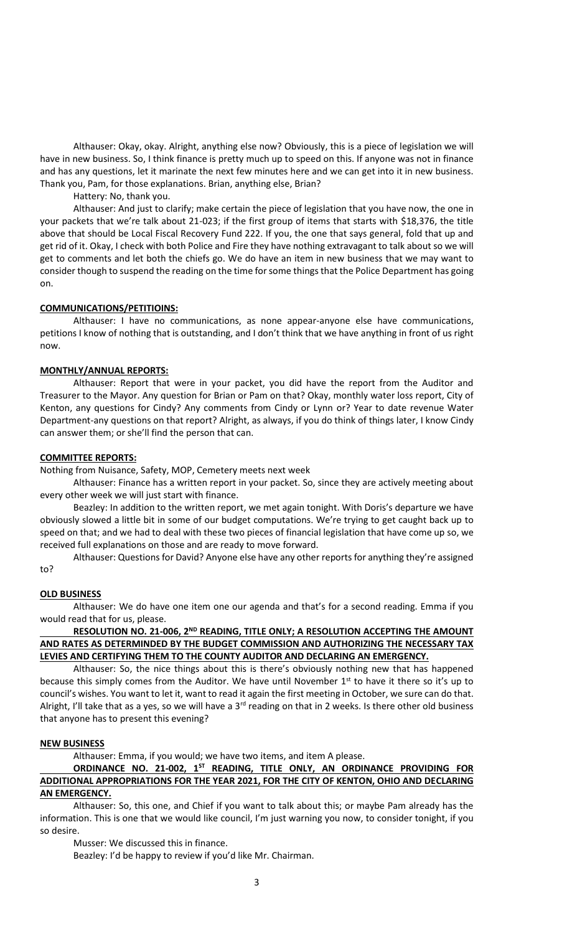Althauser: Okay, okay. Alright, anything else now? Obviously, this is a piece of legislation we will have in new business. So, I think finance is pretty much up to speed on this. If anyone was not in finance and has any questions, let it marinate the next few minutes here and we can get into it in new business. Thank you, Pam, for those explanations. Brian, anything else, Brian?

Hattery: No, thank you.

Althauser: And just to clarify; make certain the piece of legislation that you have now, the one in your packets that we're talk about 21-023; if the first group of items that starts with \$18,376, the title above that should be Local Fiscal Recovery Fund 222. If you, the one that says general, fold that up and get rid of it. Okay, I check with both Police and Fire they have nothing extravagant to talk about so we will get to comments and let both the chiefs go. We do have an item in new business that we may want to consider though to suspend the reading on the time for some things that the Police Department has going on.

### **COMMUNICATIONS/PETITIOINS:**

Althauser: I have no communications, as none appear-anyone else have communications, petitions I know of nothing that is outstanding, and I don't think that we have anything in front of us right now.

# **MONTHLY/ANNUAL REPORTS:**

Althauser: Report that were in your packet, you did have the report from the Auditor and Treasurer to the Mayor. Any question for Brian or Pam on that? Okay, monthly water loss report, City of Kenton, any questions for Cindy? Any comments from Cindy or Lynn or? Year to date revenue Water Department-any questions on that report? Alright, as always, if you do think of things later, I know Cindy can answer them; or she'll find the person that can.

### **COMMITTEE REPORTS:**

Nothing from Nuisance, Safety, MOP, Cemetery meets next week

Althauser: Finance has a written report in your packet. So, since they are actively meeting about every other week we will just start with finance.

Beazley: In addition to the written report, we met again tonight. With Doris's departure we have obviously slowed a little bit in some of our budget computations. We're trying to get caught back up to speed on that; and we had to deal with these two pieces of financial legislation that have come up so, we received full explanations on those and are ready to move forward.

Althauser: Questions for David? Anyone else have any other reports for anything they're assigned to?

### **OLD BUSINESS**

Althauser: We do have one item one our agenda and that's for a second reading. Emma if you would read that for us, please.

# **RESOLUTION NO. 21-006, 2<sup>ND</sup> READING, TITLE ONLY; A RESOLUTION ACCEPTING THE AMOUNT AND RATES AS DETERMINDED BY THE BUDGET COMMISSION AND AUTHORIZING THE NECESSARY TAX LEVIES AND CERTIFYING THEM TO THE COUNTY AUDITOR AND DECLARING AN EMERGENCY.**

Althauser: So, the nice things about this is there's obviously nothing new that has happened because this simply comes from the Auditor. We have until November  $1<sup>st</sup>$  to have it there so it's up to council's wishes. You want to let it, want to read it again the first meeting in October, we sure can do that. Alright, I'll take that as a yes, so we will have a  $3<sup>rd</sup>$  reading on that in 2 weeks. Is there other old business that anyone has to present this evening?

# **NEW BUSINESS**

Althauser: Emma, if you would; we have two items, and item A please.

## **ORDINANCE NO. 21-002, 1 ST READING, TITLE ONLY, AN ORDINANCE PROVIDING FOR ADDITIONAL APPROPRIATIONS FOR THE YEAR 2021, FOR THE CITY OF KENTON, OHIO AND DECLARING AN EMERGENCY.**

Althauser: So, this one, and Chief if you want to talk about this; or maybe Pam already has the information. This is one that we would like council, I'm just warning you now, to consider tonight, if you so desire.

Musser: We discussed this in finance.

Beazley: I'd be happy to review if you'd like Mr. Chairman.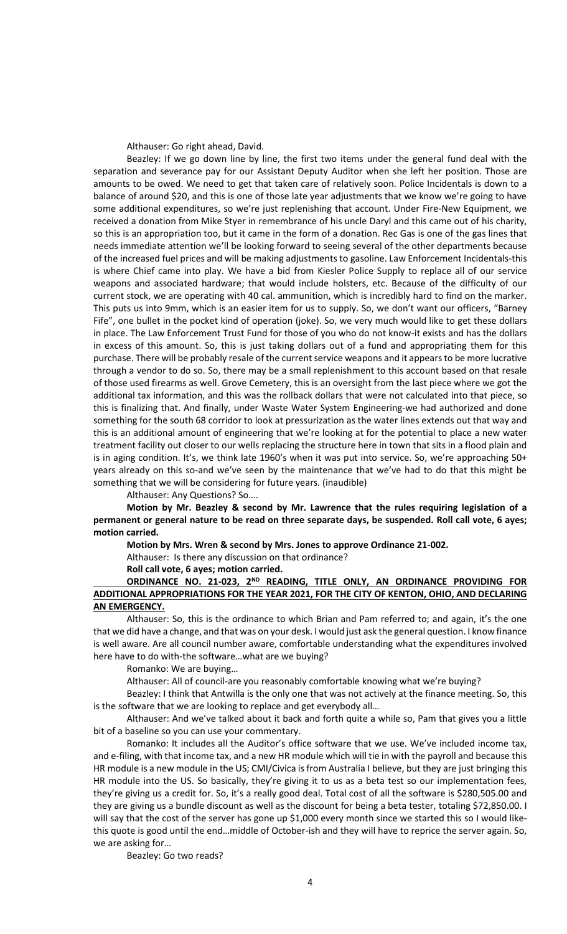Althauser: Go right ahead, David.

Beazley: If we go down line by line, the first two items under the general fund deal with the separation and severance pay for our Assistant Deputy Auditor when she left her position. Those are amounts to be owed. We need to get that taken care of relatively soon. Police Incidentals is down to a balance of around \$20, and this is one of those late year adjustments that we know we're going to have some additional expenditures, so we're just replenishing that account. Under Fire-New Equipment, we received a donation from Mike Styer in remembrance of his uncle Daryl and this came out of his charity, so this is an appropriation too, but it came in the form of a donation. Rec Gas is one of the gas lines that needs immediate attention we'll be looking forward to seeing several of the other departments because of the increased fuel prices and will be making adjustments to gasoline. Law Enforcement Incidentals-this is where Chief came into play. We have a bid from Kiesler Police Supply to replace all of our service weapons and associated hardware; that would include holsters, etc. Because of the difficulty of our current stock, we are operating with 40 cal. ammunition, which is incredibly hard to find on the marker. This puts us into 9mm, which is an easier item for us to supply. So, we don't want our officers, "Barney Fife", one bullet in the pocket kind of operation (joke). So, we very much would like to get these dollars in place. The Law Enforcement Trust Fund for those of you who do not know-it exists and has the dollars in excess of this amount. So, this is just taking dollars out of a fund and appropriating them for this purchase. There will be probably resale of the current service weapons and it appears to be more lucrative through a vendor to do so. So, there may be a small replenishment to this account based on that resale of those used firearms as well. Grove Cemetery, this is an oversight from the last piece where we got the additional tax information, and this was the rollback dollars that were not calculated into that piece, so this is finalizing that. And finally, under Waste Water System Engineering-we had authorized and done something for the south 68 corridor to look at pressurization as the water lines extends out that way and this is an additional amount of engineering that we're looking at for the potential to place a new water treatment facility out closer to our wells replacing the structure here in town that sits in a flood plain and is in aging condition. It's, we think late 1960's when it was put into service. So, we're approaching 50+ years already on this so-and we've seen by the maintenance that we've had to do that this might be something that we will be considering for future years. (inaudible)

Althauser: Any Questions? So….

**Motion by Mr. Beazley & second by Mr. Lawrence that the rules requiring legislation of a permanent or general nature to be read on three separate days, be suspended. Roll call vote, 6 ayes; motion carried.** 

**Motion by Mrs. Wren & second by Mrs. Jones to approve Ordinance 21-002.**

Althauser: Is there any discussion on that ordinance?

**Roll call vote, 6 ayes; motion carried.**

# ORDINANCE NO. 21-023, 2<sup>ND</sup> READING, TITLE ONLY, AN ORDINANCE PROVIDING FOR **ADDITIONAL APPROPRIATIONS FOR THE YEAR 2021, FOR THE CITY OF KENTON, OHIO, AND DECLARING AN EMERGENCY.**

Althauser: So, this is the ordinance to which Brian and Pam referred to; and again, it's the one that we did have a change, and that was on your desk. I would just ask the general question. I know finance is well aware. Are all council number aware, comfortable understanding what the expenditures involved here have to do with-the software…what are we buying?

Romanko: We are buying…

Althauser: All of council-are you reasonably comfortable knowing what we're buying?

Beazley: I think that Antwilla is the only one that was not actively at the finance meeting. So, this is the software that we are looking to replace and get everybody all…

Althauser: And we've talked about it back and forth quite a while so, Pam that gives you a little bit of a baseline so you can use your commentary.

Romanko: It includes all the Auditor's office software that we use. We've included income tax, and e-filing, with that income tax, and a new HR module which will tie in with the payroll and because this HR module is a new module in the US; CMI/Civica is from Australia I believe, but they are just bringing this HR module into the US. So basically, they're giving it to us as a beta test so our implementation fees, they're giving us a credit for. So, it's a really good deal. Total cost of all the software is \$280,505.00 and they are giving us a bundle discount as well as the discount for being a beta tester, totaling \$72,850.00. I will say that the cost of the server has gone up \$1,000 every month since we started this so I would likethis quote is good until the end…middle of October-ish and they will have to reprice the server again. So, we are asking for…

Beazley: Go two reads?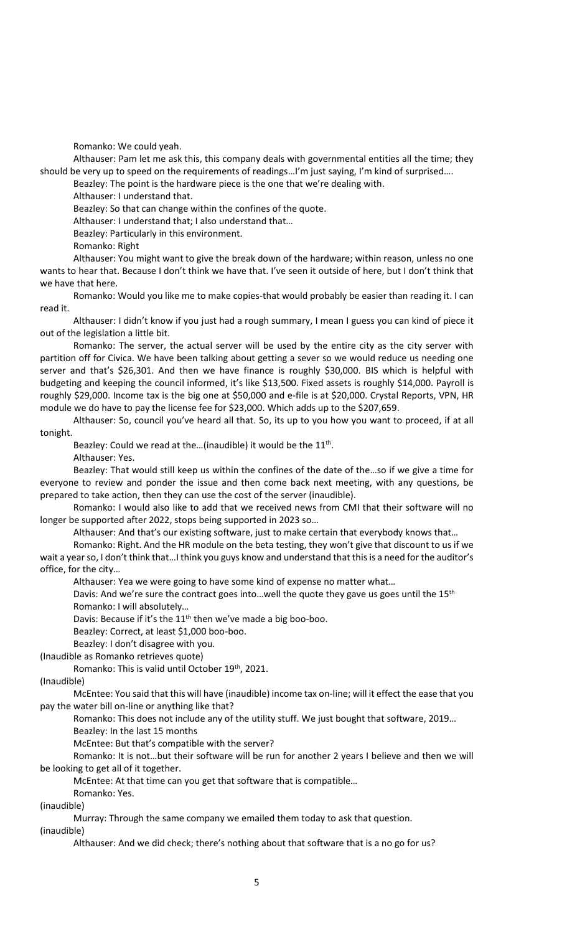Romanko: We could yeah.

Althauser: Pam let me ask this, this company deals with governmental entities all the time; they should be very up to speed on the requirements of readings…I'm just saying, I'm kind of surprised….

Beazley: The point is the hardware piece is the one that we're dealing with.

Althauser: I understand that.

Beazley: So that can change within the confines of the quote.

Althauser: I understand that; I also understand that…

Beazley: Particularly in this environment.

Romanko: Right

Althauser: You might want to give the break down of the hardware; within reason, unless no one wants to hear that. Because I don't think we have that. I've seen it outside of here, but I don't think that we have that here.

Romanko: Would you like me to make copies-that would probably be easier than reading it. I can read it.

Althauser: I didn't know if you just had a rough summary, I mean I guess you can kind of piece it out of the legislation a little bit.

Romanko: The server, the actual server will be used by the entire city as the city server with partition off for Civica. We have been talking about getting a sever so we would reduce us needing one server and that's \$26,301. And then we have finance is roughly \$30,000. BIS which is helpful with budgeting and keeping the council informed, it's like \$13,500. Fixed assets is roughly \$14,000. Payroll is roughly \$29,000. Income tax is the big one at \$50,000 and e-file is at \$20,000. Crystal Reports, VPN, HR module we do have to pay the license fee for \$23,000. Which adds up to the \$207,659.

Althauser: So, council you've heard all that. So, its up to you how you want to proceed, if at all tonight.

Beazley: Could we read at the... (inaudible) it would be the  $11<sup>th</sup>$ .

Althauser: Yes.

Beazley: That would still keep us within the confines of the date of the…so if we give a time for everyone to review and ponder the issue and then come back next meeting, with any questions, be prepared to take action, then they can use the cost of the server (inaudible).

Romanko: I would also like to add that we received news from CMI that their software will no longer be supported after 2022, stops being supported in 2023 so…

Althauser: And that's our existing software, just to make certain that everybody knows that…

Romanko: Right. And the HR module on the beta testing, they won't give that discount to us if we wait a year so, I don't think that…I think you guys know and understand that this is a need for the auditor's office, for the city…

Althauser: Yea we were going to have some kind of expense no matter what…

Davis: And we're sure the contract goes into...well the quote they gave us goes until the 15<sup>th</sup> Romanko: I will absolutely…

Davis: Because if it's the  $11<sup>th</sup>$  then we've made a big boo-boo.

Beazley: Correct, at least \$1,000 boo-boo.

Beazley: I don't disagree with you.

(Inaudible as Romanko retrieves quote)

Romanko: This is valid until October 19th, 2021.

(Inaudible)

McEntee: You said that this will have (inaudible) income tax on-line; will it effect the ease that you pay the water bill on-line or anything like that?

Romanko: This does not include any of the utility stuff. We just bought that software, 2019…

Beazley: In the last 15 months

McEntee: But that's compatible with the server?

Romanko: It is not…but their software will be run for another 2 years I believe and then we will be looking to get all of it together.

McEntee: At that time can you get that software that is compatible…

Romanko: Yes.

(inaudible)

Murray: Through the same company we emailed them today to ask that question.

(inaudible)

Althauser: And we did check; there's nothing about that software that is a no go for us?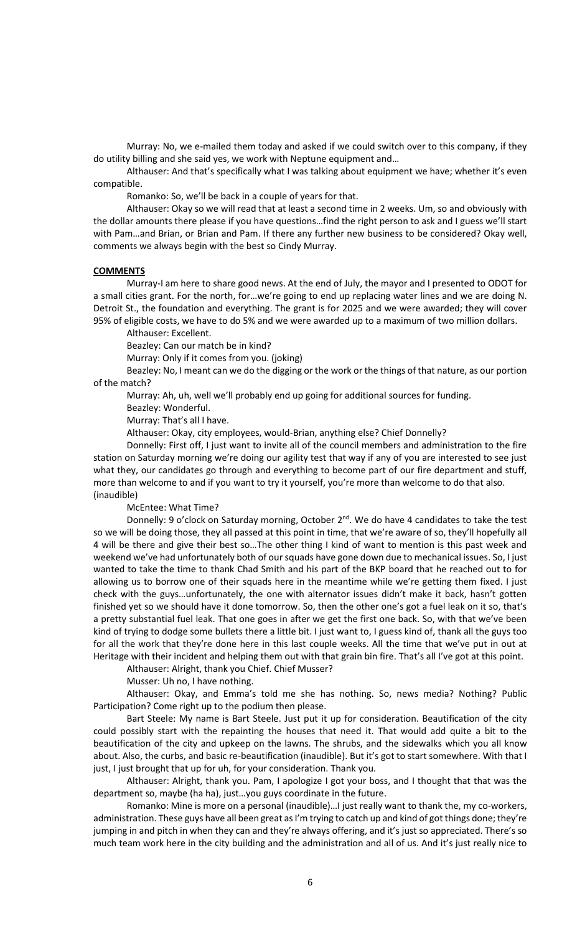Murray: No, we e-mailed them today and asked if we could switch over to this company, if they do utility billing and she said yes, we work with Neptune equipment and…

Althauser: And that's specifically what I was talking about equipment we have; whether it's even compatible.

Romanko: So, we'll be back in a couple of years for that.

Althauser: Okay so we will read that at least a second time in 2 weeks. Um, so and obviously with the dollar amounts there please if you have questions…find the right person to ask and I guess we'll start with Pam…and Brian, or Brian and Pam. If there any further new business to be considered? Okay well, comments we always begin with the best so Cindy Murray.

#### **COMMENTS**

Murray-I am here to share good news. At the end of July, the mayor and I presented to ODOT for a small cities grant. For the north, for…we're going to end up replacing water lines and we are doing N. Detroit St., the foundation and everything. The grant is for 2025 and we were awarded; they will cover 95% of eligible costs, we have to do 5% and we were awarded up to a maximum of two million dollars.

Althauser: Excellent.

Beazley: Can our match be in kind?

Murray: Only if it comes from you. (joking)

Beazley: No, I meant can we do the digging or the work or the things of that nature, as our portion of the match?

Murray: Ah, uh, well we'll probably end up going for additional sources for funding.

Beazley: Wonderful.

Murray: That's all I have.

Althauser: Okay, city employees, would-Brian, anything else? Chief Donnelly?

Donnelly: First off, I just want to invite all of the council members and administration to the fire station on Saturday morning we're doing our agility test that way if any of you are interested to see just what they, our candidates go through and everything to become part of our fire department and stuff, more than welcome to and if you want to try it yourself, you're more than welcome to do that also. (inaudible)

McEntee: What Time?

Donnelly: 9 o'clock on Saturday morning, October  $2^{nd}$ . We do have 4 candidates to take the test so we will be doing those, they all passed at this point in time, that we're aware of so, they'll hopefully all 4 will be there and give their best so…The other thing I kind of want to mention is this past week and weekend we've had unfortunately both of our squads have gone down due to mechanical issues. So, I just wanted to take the time to thank Chad Smith and his part of the BKP board that he reached out to for allowing us to borrow one of their squads here in the meantime while we're getting them fixed. I just check with the guys…unfortunately, the one with alternator issues didn't make it back, hasn't gotten finished yet so we should have it done tomorrow. So, then the other one's got a fuel leak on it so, that's a pretty substantial fuel leak. That one goes in after we get the first one back. So, with that we've been kind of trying to dodge some bullets there a little bit. I just want to, I guess kind of, thank all the guys too for all the work that they're done here in this last couple weeks. All the time that we've put in out at Heritage with their incident and helping them out with that grain bin fire. That's all I've got at this point.

Althauser: Alright, thank you Chief. Chief Musser?

Musser: Uh no, I have nothing.

Althauser: Okay, and Emma's told me she has nothing. So, news media? Nothing? Public Participation? Come right up to the podium then please.

Bart Steele: My name is Bart Steele. Just put it up for consideration. Beautification of the city could possibly start with the repainting the houses that need it. That would add quite a bit to the beautification of the city and upkeep on the lawns. The shrubs, and the sidewalks which you all know about. Also, the curbs, and basic re-beautification (inaudible). But it's got to start somewhere. With that I just, I just brought that up for uh, for your consideration. Thank you.

Althauser: Alright, thank you. Pam, I apologize I got your boss, and I thought that that was the department so, maybe (ha ha), just…you guys coordinate in the future.

Romanko: Mine is more on a personal (inaudible)…I just really want to thank the, my co-workers, administration. These guys have all been great as I'm trying to catch up and kind of got things done; they're jumping in and pitch in when they can and they're always offering, and it's just so appreciated. There's so much team work here in the city building and the administration and all of us. And it's just really nice to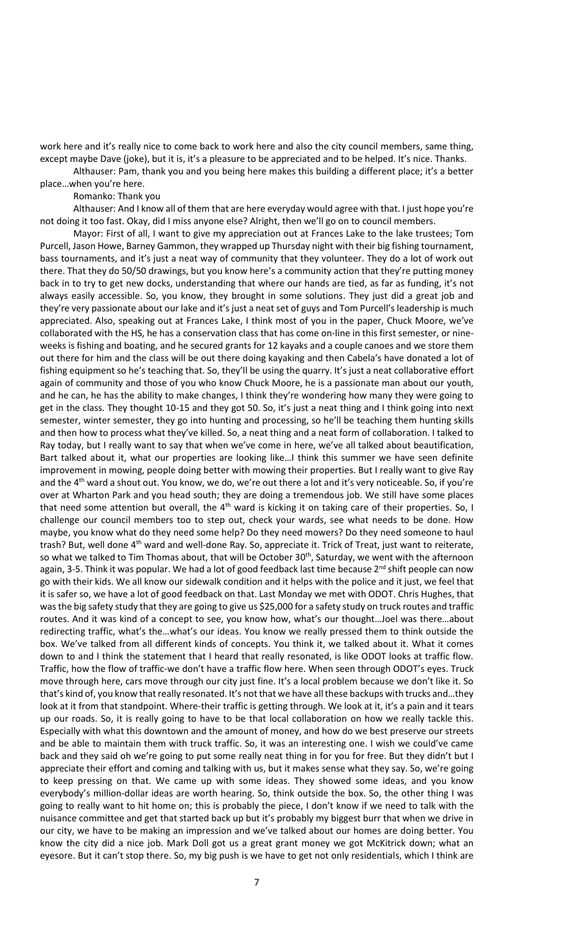work here and it's really nice to come back to work here and also the city council members, same thing, except maybe Dave (joke), but it is, it's a pleasure to be appreciated and to be helped. It's nice. Thanks.

Althauser: Pam, thank you and you being here makes this building a different place; it's a better place…when you're here.

#### Romanko: Thank you

Althauser: And I know all of them that are here everyday would agree with that. I just hope you're not doing it too fast. Okay, did I miss anyone else? Alright, then we'll go on to council members.

Mayor: First of all, I want to give my appreciation out at Frances Lake to the lake trustees; Tom Purcell, Jason Howe, Barney Gammon, they wrapped up Thursday night with their big fishing tournament, bass tournaments, and it's just a neat way of community that they volunteer. They do a lot of work out there. That they do 50/50 drawings, but you know here's a community action that they're putting money back in to try to get new docks, understanding that where our hands are tied, as far as funding, it's not always easily accessible. So, you know, they brought in some solutions. They just did a great job and they're very passionate about our lake and it's just a neat set of guys and Tom Purcell's leadership is much appreciated. Also, speaking out at Frances Lake, I think most of you in the paper, Chuck Moore, we've collaborated with the HS, he has a conservation class that has come on-line in this first semester, or nineweeks is fishing and boating, and he secured grants for 12 kayaks and a couple canoes and we store them out there for him and the class will be out there doing kayaking and then Cabela's have donated a lot of fishing equipment so he's teaching that. So, they'll be using the quarry. It's just a neat collaborative effort again of community and those of you who know Chuck Moore, he is a passionate man about our youth, and he can, he has the ability to make changes, I think they're wondering how many they were going to get in the class. They thought 10-15 and they got 50. So, it's just a neat thing and I think going into next semester, winter semester, they go into hunting and processing, so he'll be teaching them hunting skills and then how to process what they've killed. So, a neat thing and a neat form of collaboration. I talked to Ray today, but I really want to say that when we've come in here, we've all talked about beautification, Bart talked about it, what our properties are looking like…I think this summer we have seen definite improvement in mowing, people doing better with mowing their properties. But I really want to give Ray and the 4<sup>th</sup> ward a shout out. You know, we do, we're out there a lot and it's very noticeable. So, if you're over at Wharton Park and you head south; they are doing a tremendous job. We still have some places that need some attention but overall, the  $4<sup>th</sup>$  ward is kicking it on taking care of their properties. So, I challenge our council members too to step out, check your wards, see what needs to be done. How maybe, you know what do they need some help? Do they need mowers? Do they need someone to haul trash? But, well done 4<sup>th</sup> ward and well-done Ray. So, appreciate it. Trick of Treat, just want to reiterate, so what we talked to Tim Thomas about, that will be October  $30<sup>th</sup>$ , Saturday, we went with the afternoon again, 3-5. Think it was popular. We had a lot of good feedback last time because 2<sup>nd</sup> shift people can now go with their kids. We all know our sidewalk condition and it helps with the police and it just, we feel that it is safer so, we have a lot of good feedback on that. Last Monday we met with ODOT. Chris Hughes, that was the big safety study that they are going to give us \$25,000 for a safety study on truck routes and traffic routes. And it was kind of a concept to see, you know how, what's our thought…Joel was there…about redirecting traffic, what's the…what's our ideas. You know we really pressed them to think outside the box. We've talked from all different kinds of concepts. You think it, we talked about it. What it comes down to and I think the statement that I heard that really resonated, is like ODOT looks at traffic flow. Traffic, how the flow of traffic-we don't have a traffic flow here. When seen through ODOT's eyes. Truck move through here, cars move through our city just fine. It's a local problem because we don't like it. So that's kind of, you know that really resonated. It's not that we have all these backups with trucks and…they look at it from that standpoint. Where-their traffic is getting through. We look at it, it's a pain and it tears up our roads. So, it is really going to have to be that local collaboration on how we really tackle this. Especially with what this downtown and the amount of money, and how do we best preserve our streets and be able to maintain them with truck traffic. So, it was an interesting one. I wish we could've came back and they said oh we're going to put some really neat thing in for you for free. But they didn't but I appreciate their effort and coming and talking with us, but it makes sense what they say. So, we're going to keep pressing on that. We came up with some ideas. They showed some ideas, and you know everybody's million-dollar ideas are worth hearing. So, think outside the box. So, the other thing I was going to really want to hit home on; this is probably the piece, I don't know if we need to talk with the nuisance committee and get that started back up but it's probably my biggest burr that when we drive in our city, we have to be making an impression and we've talked about our homes are doing better. You know the city did a nice job. Mark Doll got us a great grant money we got McKitrick down; what an eyesore. But it can't stop there. So, my big push is we have to get not only residentials, which I think are